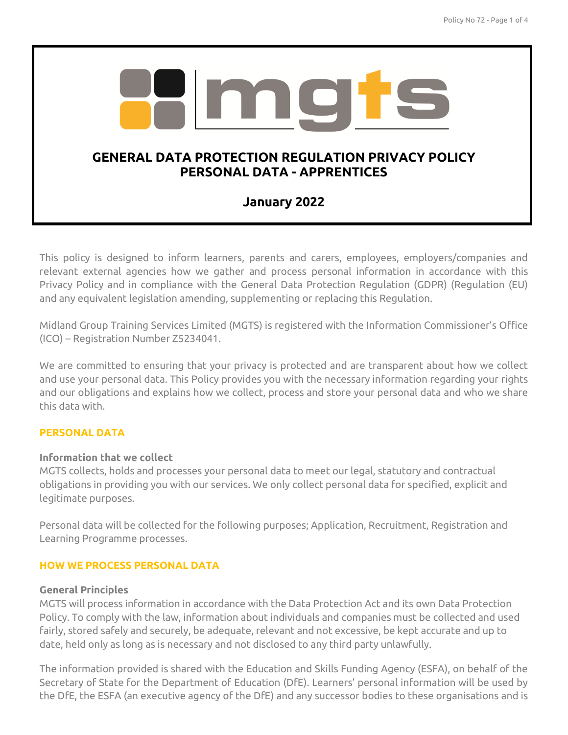

This policy is designed to inform learners, parents and carers, employees, employers/companies and relevant external agencies how we gather and process personal information in accordance with this Privacy Policy and in compliance with the General Data Protection Regulation (GDPR) (Regulation (EU) and any equivalent legislation amending, supplementing or replacing this Regulation.

Midland Group Training Services Limited (MGTS) is registered with the Information Commissioner's Office (ICO) – Registration Number Z5234041.

We are committed to ensuring that your privacy is protected and are transparent about how we collect and use your personal data. This Policy provides you with the necessary information regarding your rights and our obligations and explains how we collect, process and store your personal data and who we share this data with.

### **PERSONAL DATA**

### **Information that we collect**

MGTS collects, holds and processes your personal data to meet our legal, statutory and contractual obligations in providing you with our services. We only collect personal data for specified, explicit and legitimate purposes.

Personal data will be collected for the following purposes; Application, Recruitment, Registration and Learning Programme processes.

### **HOW WE PROCESS PERSONAL DATA**

#### **General Principles**

MGTS will process information in accordance with the Data Protection Act and its own Data Protection Policy. To comply with the law, information about individuals and companies must be collected and used fairly, stored safely and securely, be adequate, relevant and not excessive, be kept accurate and up to date, held only as long as is necessary and not disclosed to any third party unlawfully.

The information provided is shared with the Education and Skills Funding Agency (ESFA), on behalf of the Secretary of State for the Department of Education (DfE). Learners' personal information will be used by the DfE, the ESFA (an executive agency of the DfE) and any successor bodies to these organisations and is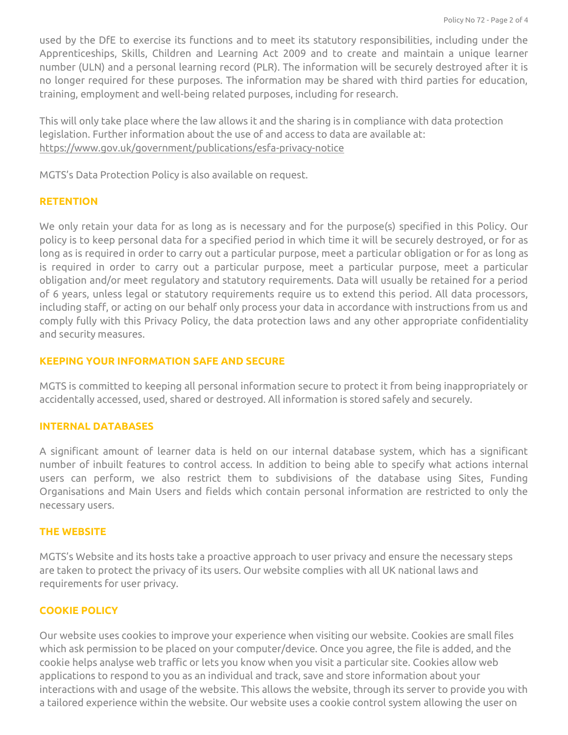used by the DfE to exercise its functions and to meet its statutory responsibilities, including under the Apprenticeships, Skills, Children and Learning Act 2009 and to create and maintain a unique learner number (ULN) and a personal learning record (PLR). The information will be securely destroyed after it is no longer required for these purposes. The information may be shared with third parties for education, training, employment and well-being related purposes, including for research.

This will only take place where the law allows it and the sharing is in compliance with data protection legislation. Further information about the use of and access to data are available at: <https://www.gov.uk/government/publications/esfa-privacy-notice>

MGTS's Data Protection Policy is also available on request.

#### **RETENTION**

We only retain your data for as long as is necessary and for the purpose(s) specified in this Policy. Our policy is to keep personal data for a specified period in which time it will be securely destroyed, or for as long as is required in order to carry out a particular purpose, meet a particular obligation or for as long as is required in order to carry out a particular purpose, meet a particular purpose, meet a particular obligation and/or meet regulatory and statutory requirements. Data will usually be retained for a period of 6 years, unless legal or statutory requirements require us to extend this period. All data processors, including staff, or acting on our behalf only process your data in accordance with instructions from us and comply fully with this Privacy Policy, the data protection laws and any other appropriate confidentiality and security measures.

#### **KEEPING YOUR INFORMATION SAFE AND SECURE**

MGTS is committed to keeping all personal information secure to protect it from being inappropriately or accidentally accessed, used, shared or destroyed. All information is stored safely and securely.

#### **INTERNAL DATABASES**

A significant amount of learner data is held on our internal database system, which has a significant number of inbuilt features to control access. In addition to being able to specify what actions internal users can perform, we also restrict them to subdivisions of the database using Sites, Funding Organisations and Main Users and fields which contain personal information are restricted to only the necessary users.

#### **THE WEBSITE**

MGTS's Website and its hosts take a proactive approach to user privacy and ensure the necessary steps are taken to protect the privacy of its users. Our website complies with all UK national laws and requirements for user privacy.

### **COOKIE POLICY**

Our website uses cookies to improve your experience when visiting our website. Cookies are small files which ask permission to be placed on your computer/device. Once you agree, the file is added, and the cookie helps analyse web traffic or lets you know when you visit a particular site. Cookies allow web applications to respond to you as an individual and track, save and store information about your interactions with and usage of the website. This allows the website, through its server to provide you with a tailored experience within the website. Our website uses a cookie control system allowing the user on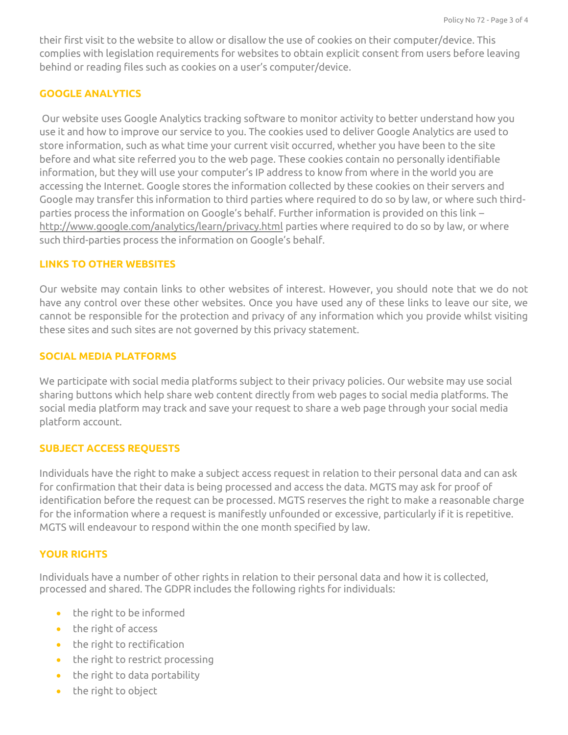their first visit to the website to allow or disallow the use of cookies on their computer/device. This complies with legislation requirements for websites to obtain explicit consent from users before leaving behind or reading files such as cookies on a user's computer/device.

# **GOOGLE ANALYTICS**

Our website uses Google Analytics tracking software to monitor activity to better understand how you use it and how to improve our service to you. The cookies used to deliver Google Analytics are used to store information, such as what time your current visit occurred, whether you have been to the site before and what site referred you to the web page. These cookies contain no personally identifiable information, but they will use your computer's IP address to know from where in the world you are accessing the Internet. Google stores the information collected by these cookies on their servers and Google may transfer this information to third parties where required to do so by law, or where such thirdparties process the information on Google's behalf. Further information is provided on this link – <http://www.google.com/analytics/learn/privacy.html> parties where required to do so by law, or where such third-parties process the information on Google's behalf.

### **LINKS TO OTHER WEBSITES**

Our website may contain links to other websites of interest. However, you should note that we do not have any control over these other websites. Once you have used any of these links to leave our site, we cannot be responsible for the protection and privacy of any information which you provide whilst visiting these sites and such sites are not governed by this privacy statement.

## **SOCIAL MEDIA PLATFORMS**

We participate with social media platforms subject to their privacy policies. Our website may use social sharing buttons which help share web content directly from web pages to social media platforms. The social media platform may track and save your request to share a web page through your social media platform account.

## **SUBJECT ACCESS REQUESTS**

Individuals have the right to make a subject access request in relation to their personal data and can ask for confirmation that their data is being processed and access the data. MGTS may ask for proof of identification before the request can be processed. MGTS reserves the right to make a reasonable charge for the information where a request is manifestly unfounded or excessive, particularly if it is repetitive. MGTS will endeavour to respond within the one month specified by law.

## **YOUR RIGHTS**

Individuals have a number of other rights in relation to their personal data and how it is collected, processed and shared. The GDPR includes the following rights for individuals:

- the right to be informed
- the right of access
- $\bullet$  the right to rectification
- $\bullet$  the right to restrict processing
- $\bullet$  the right to data portability
- $\bullet$  the right to object